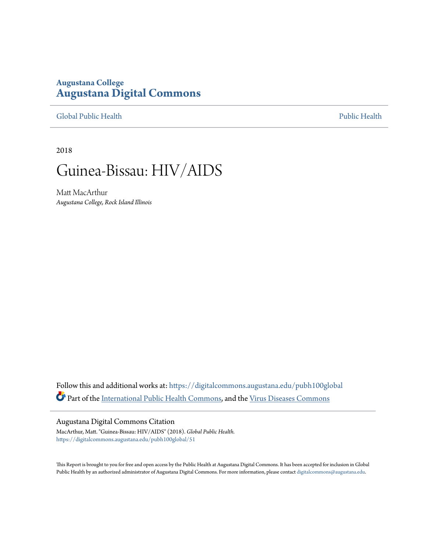## **Augustana College [Augustana Digital Commons](https://digitalcommons.augustana.edu?utm_source=digitalcommons.augustana.edu%2Fpubh100global%2F51&utm_medium=PDF&utm_campaign=PDFCoverPages)**

[Global Public Health](https://digitalcommons.augustana.edu/pubh100global?utm_source=digitalcommons.augustana.edu%2Fpubh100global%2F51&utm_medium=PDF&utm_campaign=PDFCoverPages) [Public Health](https://digitalcommons.augustana.edu/publichealth?utm_source=digitalcommons.augustana.edu%2Fpubh100global%2F51&utm_medium=PDF&utm_campaign=PDFCoverPages)

2018

# Guinea-Bissau: HIV/AIDS

Matt MacArthur *Augustana College, Rock Island Illinois*

Follow this and additional works at: [https://digitalcommons.augustana.edu/pubh100global](https://digitalcommons.augustana.edu/pubh100global?utm_source=digitalcommons.augustana.edu%2Fpubh100global%2F51&utm_medium=PDF&utm_campaign=PDFCoverPages) Part of the [International Public Health Commons](http://network.bepress.com/hgg/discipline/746?utm_source=digitalcommons.augustana.edu%2Fpubh100global%2F51&utm_medium=PDF&utm_campaign=PDFCoverPages), and the [Virus Diseases Commons](http://network.bepress.com/hgg/discipline/998?utm_source=digitalcommons.augustana.edu%2Fpubh100global%2F51&utm_medium=PDF&utm_campaign=PDFCoverPages)

#### Augustana Digital Commons Citation

MacArthur, Matt. "Guinea-Bissau: HIV/AIDS" (2018). *Global Public Health.* [https://digitalcommons.augustana.edu/pubh100global/51](https://digitalcommons.augustana.edu/pubh100global/51?utm_source=digitalcommons.augustana.edu%2Fpubh100global%2F51&utm_medium=PDF&utm_campaign=PDFCoverPages)

This Report is brought to you for free and open access by the Public Health at Augustana Digital Commons. It has been accepted for inclusion in Global Public Health by an authorized administrator of Augustana Digital Commons. For more information, please contact [digitalcommons@augustana.edu.](mailto:digitalcommons@augustana.edu)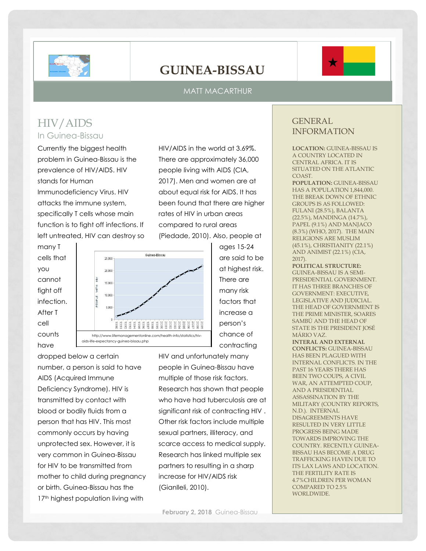

# **GUINEA-BISSAU**

#### MATT MACARTHUR

## HIV/AIDS In Guinea-Bissau

Currently the biggest health problem in Guinea-Bissau is the prevalence of HIV/AIDS. HIV stands for Human Immunodeficiency Virus. HIV attacks the immune system, specifically T cells whose main function is to fight off infections. If left untreated, HIV can destroy so



many T cells that you cannot fight off infection. After T cell counts have



dropped below a certain number, a person is said to have AIDS (Acquired Immune Deficiency Syndrome). HIV is transmitted by contact with blood or bodily fluids from a person that has HIV. This most commonly occurs by having unprotected sex. However, it is very common in Guinea-Bissau for HIV to be transmitted from mother to child during pregnancy or birth. Guinea-Bissau has the 17<sup>th</sup> highest population living with

many risk factors that increase a person's chance of contracting HIV and unfortunately many people in Guinea-Bissau have multiple of those risk factors. Research has shown that people who have had tuberculosis are at

ages 15-24 are said to be at highest risk. There are

significant risk of contracting HIV . Other risk factors include multiple sexual partners, illiteracy, and scarce access to medical supply. Research has linked multiple sex partners to resulting in a sharp increase for HIV/AIDS risk (Gianlleli, 2010).

### GENERAL INFORMATION

**LOCATION:** GUINEA-BISSAU IS A COUNTRY LOCATED IN CENTRAL AFRICA. IT IS SITUATED ON THE ATLANTIC COAST.

**POPULATION:** GUINEA-BISSAU HAS A POPULATION 1,844,000. THE BREAK DOWN OF ETHNIC GROUPS IS AS FOLLOWED: FULANI (28.5%), BALANTA (22.5%), MANDINGA (14.7%), PAPEL (9.1%) AND MANJACO (8.3%) (WHO, 2017). THE MAIN RELIGIONS ARE MUSLIM (45.1%), CHRISTIANITY (22.1%) AND ANIMIST (22.1%) (CIA, 2017).

**POLITICAL STRUCTURE:** GUINEA-BISSAU IS A SEMI-PRESIDENTIAL GOVERNMENT. IT HAS THREE BRANCHES OF GOVERNMENT: EXECUTIVE, LEGISLATIVE AND JUDICIAL. THE HEAD OF GOVERNMENT IS THE PRIME MINISTER, SOARES SAMBÚ AND THE HEAD OF STATE IS THE PRESIDENT JOSÉ MÁRIO VAZ.

**INTERAL AND EXTERNAL CONFLICTS:** GUINEA-BISSAU HAS BEEN PLAGUED WITH INTERNAL CONFLICTS. IN THE PAST 16 YEARS THERE HAS BEEN TWO COUPS, A CIVIL WAR, AN ATTEMPTED COUP, AND A PRESIDENTIAL ASSASSINATION BY THE MILITARY (COUNTRY REPORTS, N.D.). INTERNAL DISAGREEMENTS HAVE RESULTED IN VERY LITTLE PROGRESS BEING MADE TOWARDS IMPROVING THE COUNTRY. RECENTLY GUINEA-BISSAU HAS BECOME A DRUG TRAFFICKING HAVEN DUE TO ITS LAX LAWS AND LOCATION. THE FERTILITY RATE IS 4.7%CHILDREN PER WOMAN COMPARED TO 2.5% WORLDWIDE.